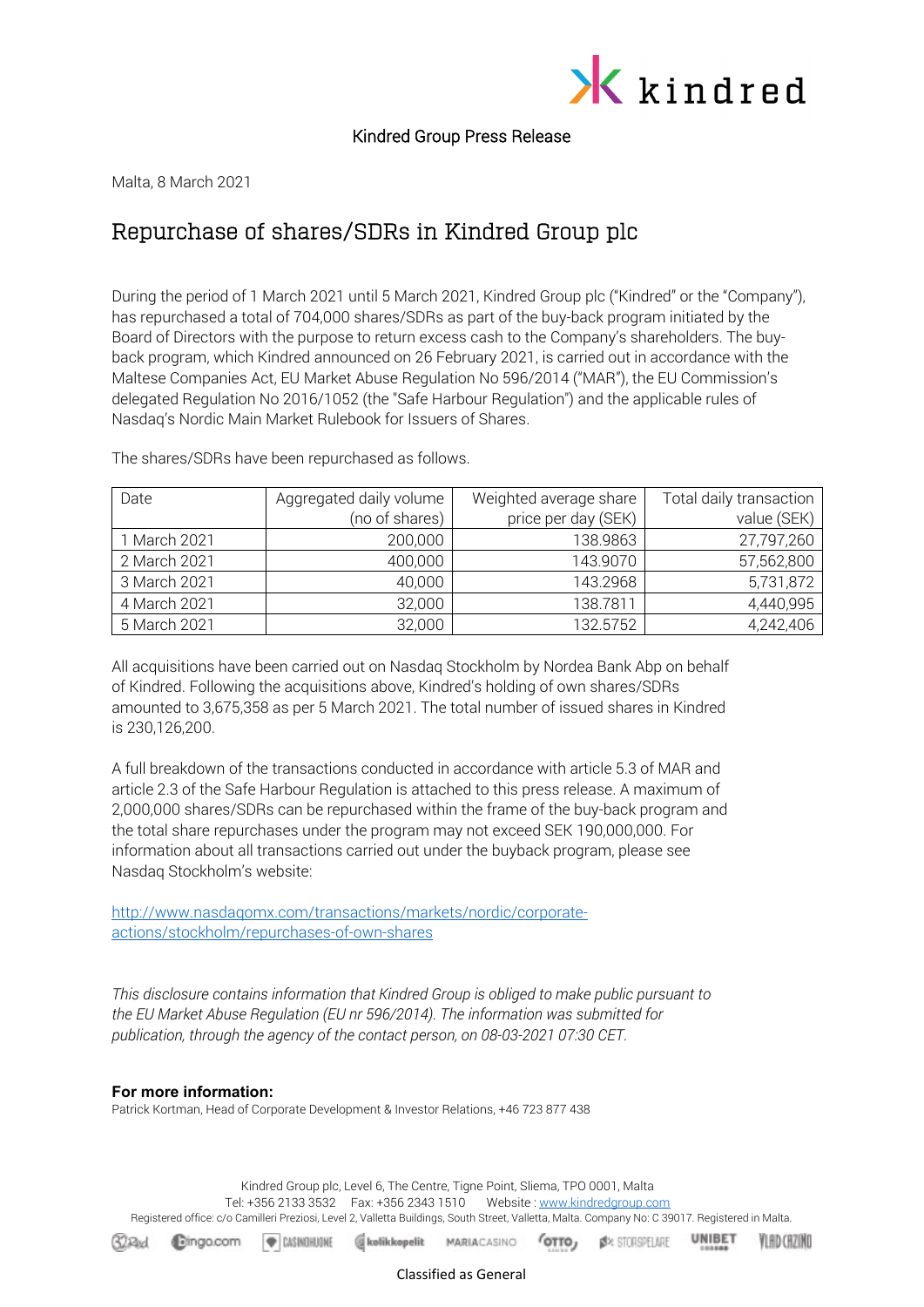

Kindred Group Press Release

Malta, 8 March 2021

## Repurchase of shares/SDRs in Kindred Group plc

During the period of 1 March 2021 until 5 March 2021, Kindred Group plc ("Kindred" or the "Company"), has repurchased a total of 704,000 shares/SDRs as part of the buy-back program initiated by the Board of Directors with the purpose to return excess cash to the Company's shareholders. The buyback program, which Kindred announced on 26 February 2021, is carried out in accordance with the Maltese Companies Act, EU Market Abuse Regulation No 596/2014 ("MAR"), the EU Commission's delegated Regulation No 2016/1052 (the "Safe Harbour Regulation") and the applicable rules of Nasdaq's Nordic Main Market Rulebook for Issuers of Shares.

| Date         | Aggregated daily volume | Weighted average share | Total daily transaction |
|--------------|-------------------------|------------------------|-------------------------|
|              | (no of shares)          | price per day (SEK)    | value (SEK)             |
| 1 March 2021 | 200,000                 | 138.9863               | 27,797,260              |
| 2 March 2021 | 400,000                 | 143.9070               | 57,562,800              |
| 3 March 2021 | 40,000                  | 143.2968               | 5,731,872               |
| 4 March 2021 | 32,000                  | 138.7811               | 4,440,995               |
| 5 March 2021 | 32,000                  | 132.5752               | 4,242,406               |

The shares/SDRs have been repurchased as follows.

All acquisitions have been carried out on Nasdaq Stockholm by Nordea Bank Abp on behalf of Kindred. Following the acquisitions above, Kindred's holding of own shares/SDRs amounted to 3,675,358 as per 5 March 2021. The total number of issued shares in Kindred is 230,126,200.

A full breakdown of the transactions conducted in accordance with article 5.3 of MAR and article 2.3 of the Safe Harbour Regulation is attached to this press release. A maximum of 2,000,000 shares/SDRs can be repurchased within the frame of the buy-back program and the total share repurchases under the program may not exceed SEK 190,000,000. For information about all transactions carried out under the buyback program, please see Nasdaq Stockholm's website:

[http://www.nasdaqomx.com/transactions/markets/nordic/corporate](http://www.nasdaqomx.com/transactions/markets/nordic/corporate-actions/stockholm/repurchases-of-own-shares)[actions/stockholm/repurchases-of-own-shares](http://www.nasdaqomx.com/transactions/markets/nordic/corporate-actions/stockholm/repurchases-of-own-shares)

*This disclosure contains information that Kindred Group is obliged to make public pursuant to the EU Market Abuse Regulation (EU nr 596/2014). The information was submitted for publication, through the agency of the contact person, on 08-03-2021 07:30 CET.*

## **For more information:**

**Bingo.com** 

 $62$ <sub>Rad</sub>

Patrick Kortman, Head of Corporate Development & Investor Relations, +46 723 877 438

 $'$ OTTO

**B**X STORSPELARE